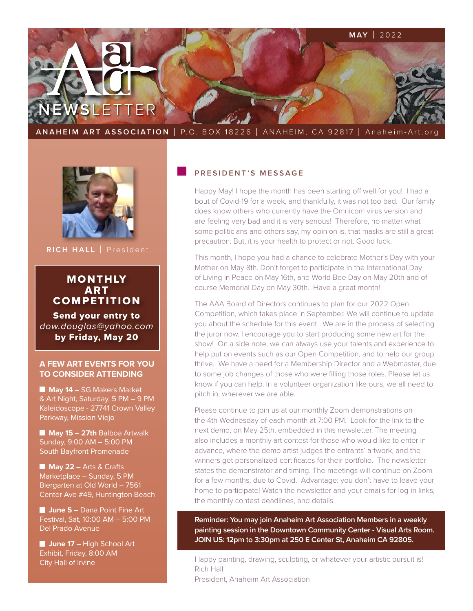

**ANAHEIM ART ASSOCIATION** | P.O. BOX 18226 | ANAHEIM, CA 92817 | Anaheim-Art.org



**RICH HALL** | President

# MONTHLY ART **COMPETITION**

Send your entry to *[dow.douglas@yahoo.com](mailto:dow.douglas%40yahoo.com?subject=)* by Friday, May 20

#### **A FEW ART EVENTS FOR YOU TO CONSIDER ATTENDING**

**May 14 – SG Makers Market** & Art Night, Saturday, 5 PM – 9 PM Kaleidoscope - 27741 Crown Valley Parkway, Mission Viejo

 **May 15 – 27th** Balboa Artwalk Sunday, 9:00 AM – 5:00 PM South Bayfront Promenade

**May 22 – Arts & Crafts** Marketplace – Sunday, 5 PM Biergarten at Old World – 7561 Center Ave #49, Huntington Beach

**<u><b>1**</u> **June 5 –** Dana Point Fine Art Festival, Sat, 10:00 AM – 5:00 PM Del Prado Avenue

**June 17 – High School Art** Exhibit, Friday, 8:00 AM City Hall of Irvine

### **PRESIDENT'S MESSAGE**

Happy May! I hope the month has been starting off well for you! I had a bout of Covid-19 for a week, and thankfully, it was not too bad. Our family does know others who currently have the Omnicom virus version and are feeling very bad and it is very serious! Therefore, no matter what some politicians and others say, my opinion is, that masks are still a great precaution. But, it is your health to protect or not. Good luck.

This month, I hope you had a chance to celebrate Mother's Day with your Mother on May 8th. Don't forget to participate in the International Day of Living in Peace on May 16th, and World Bee Day on May 20th and of course Memorial Day on May 30th. Have a great month!

The AAA Board of Directors continues to plan for our 2022 Open Competition, which takes place in September. We will continue to update you about the schedule for this event. We are in the process of selecting the juror now. I encourage you to start producing some new art for the show! On a side note, we can always use your talents and experience to help put on events such as our Open Competition, and to help our group thrive. We have a need for a Membership Director and a Webmaster, due to some job changes of those who were filling those roles. Please let us know if you can help. In a volunteer organization like ours, we all need to pitch in, wherever we are able.

Please continue to join us at our monthly Zoom demonstrations on the 4th Wednesday of each month at 7:00 PM. Look for the link to the next demo, on May 25th, embedded in this newsletter. The meeting also includes a monthly art contest for those who would like to enter in advance, where the demo artist judges the entrants' artwork, and the winners get personalized certificates for their portfolio. The newsletter states the demonstrator and timing. The meetings will continue on Zoom for a few months, due to Covid. Advantage: you don't have to leave your home to participate! Watch the newsletter and your emails for log-in links, the monthly contest deadlines, and details.

**Reminder: You may join Anaheim Art Association Members in a weekly painting session in the Downtown Community Center - Visual Arts Room. JOIN US: 12pm to 3:30pm at 250 E Center St, Anaheim CA 92805.**

Happy painting, drawing, sculpting, or whatever your artistic pursuit is! Rich Hall

President, Anaheim Art Association